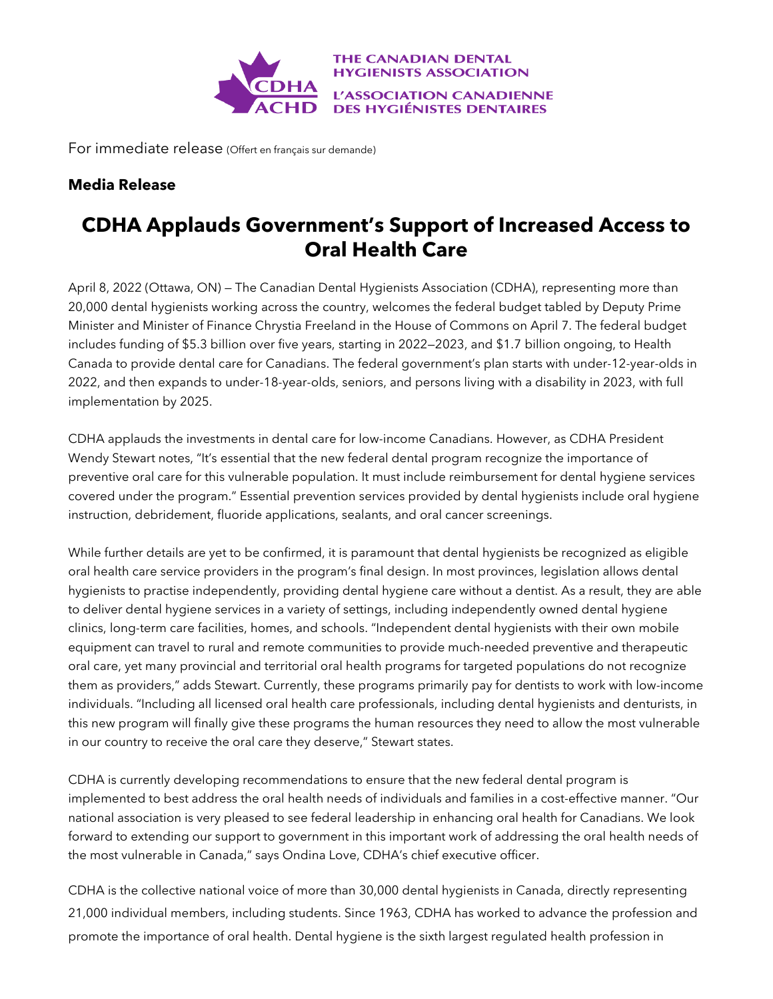

For immediate release (Offert en français sur demande)

## **Media Release**

## **CDHA Applauds Government's Support of Increased Access to Oral Health Care**

April 8, 2022 (Ottawa, ON) — The Canadian Dental Hygienists Association (CDHA), representing more than 20,000 dental hygienists working across the country, welcomes the federal budget tabled by Deputy Prime Minister and Minister of Finance Chrystia Freeland in the House of Commons on April 7. The federal budget includes funding of \$5.3 billion over five years, starting in 2022—2023, and \$1.7 billion ongoing, to Health Canada to provide dental care for Canadians. The federal government's plan starts with under-12-year-olds in 2022, and then expands to under-18-year-olds, seniors, and persons living with a disability in 2023, with full implementation by 2025.

CDHA applauds the investments in dental care for low-income Canadians. However, as CDHA President Wendy Stewart notes, "It's essential that the new federal dental program recognize the importance of preventive oral care for this vulnerable population. It must include reimbursement for dental hygiene services covered under the program." Essential prevention services provided by dental hygienists include oral hygiene instruction, debridement, fluoride applications, sealants, and oral cancer screenings.

While further details are yet to be confirmed, it is paramount that dental hygienists be recognized as eligible oral health care service providers in the program's final design. In most provinces, legislation allows dental hygienists to practise independently, providing dental hygiene care without a dentist. As a result, they are able to deliver dental hygiene services in a variety of settings, including independently owned dental hygiene clinics, long-term care facilities, homes, and schools. "Independent dental hygienists with their own mobile equipment can travel to rural and remote communities to provide much-needed preventive and therapeutic oral care, yet many provincial and territorial oral health programs for targeted populations do not recognize them as providers," adds Stewart. Currently, these programs primarily pay for dentists to work with low-income individuals. "Including all licensed oral health care professionals, including dental hygienists and denturists, in this new program will finally give these programs the human resources they need to allow the most vulnerable in our country to receive the oral care they deserve," Stewart states.

CDHA is currently developing recommendations to ensure that the new federal dental program is implemented to best address the oral health needs of individuals and families in a cost-effective manner. "Our national association is very pleased to see federal leadership in enhancing oral health for Canadians. We look forward to extending our support to government in this important work of addressing the oral health needs of the most vulnerable in Canada," says Ondina Love, CDHA's chief executive officer.

CDHA is the collective national voice of more than 30,000 dental hygienists in Canada, directly representing 21,000 individual members, including students. Since 1963, CDHA has worked to advance the profession and promote the importance of oral health. Dental hygiene is the sixth largest regulated health profession in